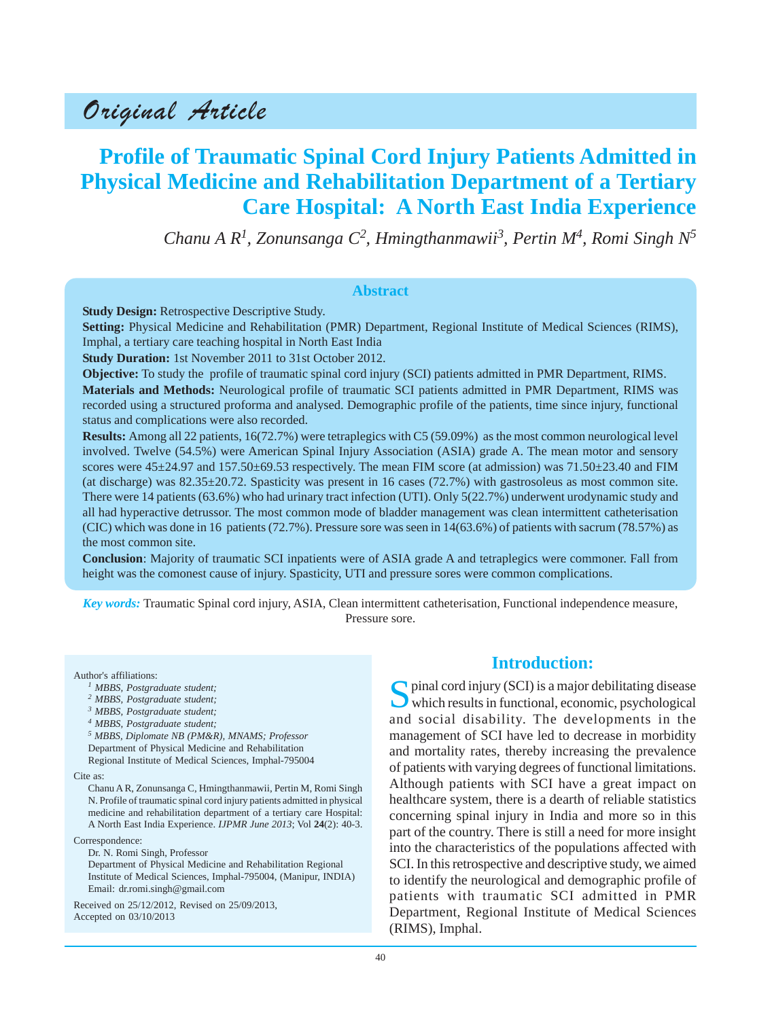# Original Article

# **Profile of Traumatic Spinal Cord Injury Patients Admitted in Physical Medicine and Rehabilitation Department of a Tertiary Care Hospital: A North East India Experience**

*Chanu A R<sup>1</sup> , Zonunsanga C2 , Hmingthanmawii3 , Pertin M4, Romi Singh N5*

#### **Abstract**

**Study Design:** Retrospective Descriptive Study.

**Setting:** Physical Medicine and Rehabilitation (PMR) Department, Regional Institute of Medical Sciences (RIMS), Imphal, a tertiary care teaching hospital in North East India

**Study Duration:** 1st November 2011 to 31st October 2012.

**Objective:** To study the profile of traumatic spinal cord injury (SCI) patients admitted in PMR Department, RIMS. **Materials and Methods:** Neurological profile of traumatic SCI patients admitted in PMR Department, RIMS was recorded using a structured proforma and analysed. Demographic profile of the patients, time since injury, functional status and complications were also recorded.

**Results:** Among all 22 patients, 16(72.7%) were tetraplegics with C5 (59.09%) as the most common neurological level involved. Twelve (54.5%) were American Spinal Injury Association (ASIA) grade A. The mean motor and sensory scores were  $45\pm24.97$  and  $157.50\pm69.53$  respectively. The mean FIM score (at admission) was  $71.50\pm23.40$  and FIM (at discharge) was  $82.35\pm 20.72$ . Spasticity was present in 16 cases (72.7%) with gastrosoleus as most common site. There were 14 patients (63.6%) who had urinary tract infection (UTI). Only 5(22.7%) underwent urodynamic study and all had hyperactive detrussor. The most common mode of bladder management was clean intermittent catheterisation (CIC) which was done in 16 patients (72.7%). Pressure sore was seen in 14(63.6%) of patients with sacrum (78.57%) as the most common site.

**Conclusion**: Majority of traumatic SCI inpatients were of ASIA grade A and tetraplegics were commoner. Fall from height was the comonest cause of injury. Spasticity, UTI and pressure sores were common complications.

*Key words:* Traumatic Spinal cord injury, ASIA, Clean intermittent catheterisation, Functional independence measure, Pressure sore.

Author's affiliations:

- *1 MBBS, Postgraduate student;*
- *2 MBBS, Postgraduate student;*
- *3 MBBS, Postgraduate student;*
- *4 MBBS, Postgraduate student;*

*5 MBBS, Diplomate NB (PM&R), MNAMS; Professor* Department of Physical Medicine and Rehabilitation Regional Institute of Medical Sciences, Imphal-795004

#### Cite as:

Chanu A R, Zonunsanga C, Hmingthanmawii, Pertin M, Romi Singh N. Profile of traumatic spinal cord injury patients admitted in physical medicine and rehabilitation department of a tertiary care Hospital: A North East India Experience. *IJPMR June 2013*; Vol **24**(2): 40-3.

Correspondence:

Dr. N. Romi Singh, Professor

Department of Physical Medicine and Rehabilitation Regional Institute of Medical Sciences, Imphal-795004, (Manipur, INDIA) Email: dr.romi.singh@gmail.com

Received on 25/12/2012, Revised on 25/09/2013, Accepted on 03/10/2013

## **Introduction:**

 $\bigcap$  pinal cord injury (SCI) is a major debilitating disease which results in functional, economic, psychological and social disability. The developments in the management of SCI have led to decrease in morbidity and mortality rates, thereby increasing the prevalence of patients with varying degrees of functional limitations. Although patients with SCI have a great impact on healthcare system, there is a dearth of reliable statistics concerning spinal injury in India and more so in this part of the country. There is still a need for more insight into the characteristics of the populations affected with SCI. In this retrospective and descriptive study, we aimed to identify the neurological and demographic profile of patients with traumatic SCI admitted in PMR Department, Regional Institute of Medical Sciences (RIMS), Imphal.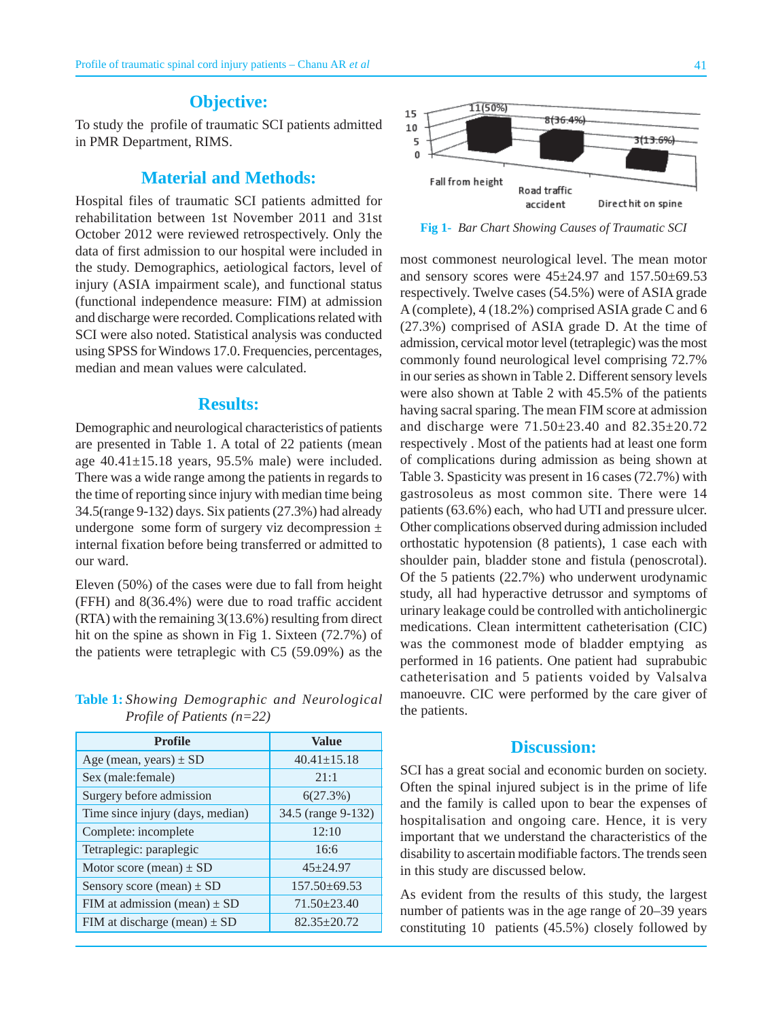#### **Objective:**

To study the profile of traumatic SCI patients admitted in PMR Department, RIMS.

# **Material and Methods:**

Hospital files of traumatic SCI patients admitted for rehabilitation between 1st November 2011 and 31st October 2012 were reviewed retrospectively. Only the data of first admission to our hospital were included in the study. Demographics, aetiological factors, level of injury (ASIA impairment scale), and functional status (functional independence measure: FIM) at admission and discharge were recorded. Complications related with SCI were also noted. Statistical analysis was conducted using SPSS for Windows 17.0. Frequencies, percentages, median and mean values were calculated.

### **Results:**

Demographic and neurological characteristics of patients are presented in Table 1. A total of 22 patients (mean age  $40.41 \pm 15.18$  years, 95.5% male) were included. There was a wide range among the patients in regards to the time of reporting since injury with median time being 34.5(range 9-132) days. Six patients (27.3%) had already undergone some form of surgery viz decompression  $\pm$ internal fixation before being transferred or admitted to our ward.

Eleven (50%) of the cases were due to fall from height (FFH) and 8(36.4%) were due to road traffic accident (RTA) with the remaining 3(13.6%) resulting from direct hit on the spine as shown in Fig 1. Sixteen (72.7%) of the patients were tetraplegic with C5 (59.09%) as the

|  | <b>Table 1:</b> Showing Demographic and Neurological |  |  |
|--|------------------------------------------------------|--|--|
|  | Profile of Patients $(n=22)$                         |  |  |

| <b>Profile</b>                   | Value              |  |
|----------------------------------|--------------------|--|
| Age (mean, years) $\pm$ SD       | $40.41 \pm 15.18$  |  |
| Sex (male:female)                | 21:1               |  |
| Surgery before admission         | 6(27.3%)           |  |
| Time since injury (days, median) | 34.5 (range 9-132) |  |
| Complete: incomplete             | 12:10              |  |
| Tetraplegic: paraplegic          | 16:6               |  |
| Motor score (mean) $\pm$ SD      | $45 + 24.97$       |  |
| Sensory score (mean) $\pm$ SD    | $157.50\pm 69.53$  |  |
| FIM at admission (mean) $\pm$ SD | $71.50 \pm 23.40$  |  |
| FIM at discharge (mean) $\pm$ SD | $82.35 + 20.72$    |  |



**Fig 1-** *Bar Chart Showing Causes of Traumatic SCI*

most commonest neurological level. The mean motor and sensory scores were  $45\pm24.97$  and  $157.50\pm69.53$ respectively. Twelve cases (54.5%) were of ASIA grade A (complete), 4 (18.2%) comprised ASIA grade C and 6 (27.3%) comprised of ASIA grade D. At the time of admission, cervical motor level (tetraplegic) was the most commonly found neurological level comprising 72.7% in our series as shown in Table 2. Different sensory levels were also shown at Table 2 with 45.5% of the patients having sacral sparing. The mean FIM score at admission and discharge were 71.50±23.40 and 82.35±20.72 respectively . Most of the patients had at least one form of complications during admission as being shown at Table 3. Spasticity was present in 16 cases (72.7%) with gastrosoleus as most common site. There were 14 patients (63.6%) each, who had UTI and pressure ulcer. Other complications observed during admission included orthostatic hypotension (8 patients), 1 case each with shoulder pain, bladder stone and fistula (penoscrotal). Of the 5 patients (22.7%) who underwent urodynamic study, all had hyperactive detrussor and symptoms of urinary leakage could be controlled with anticholinergic medications. Clean intermittent catheterisation (CIC) was the commonest mode of bladder emptying as performed in 16 patients. One patient had suprabubic catheterisation and 5 patients voided by Valsalva manoeuvre. CIC were performed by the care giver of the patients.

## **Discussion:**

SCI has a great social and economic burden on society. Often the spinal injured subject is in the prime of life and the family is called upon to bear the expenses of hospitalisation and ongoing care. Hence, it is very important that we understand the characteristics of the disability to ascertain modifiable factors. The trends seen in this study are discussed below.

As evident from the results of this study, the largest number of patients was in the age range of 20–39 years constituting 10 patients (45.5%) closely followed by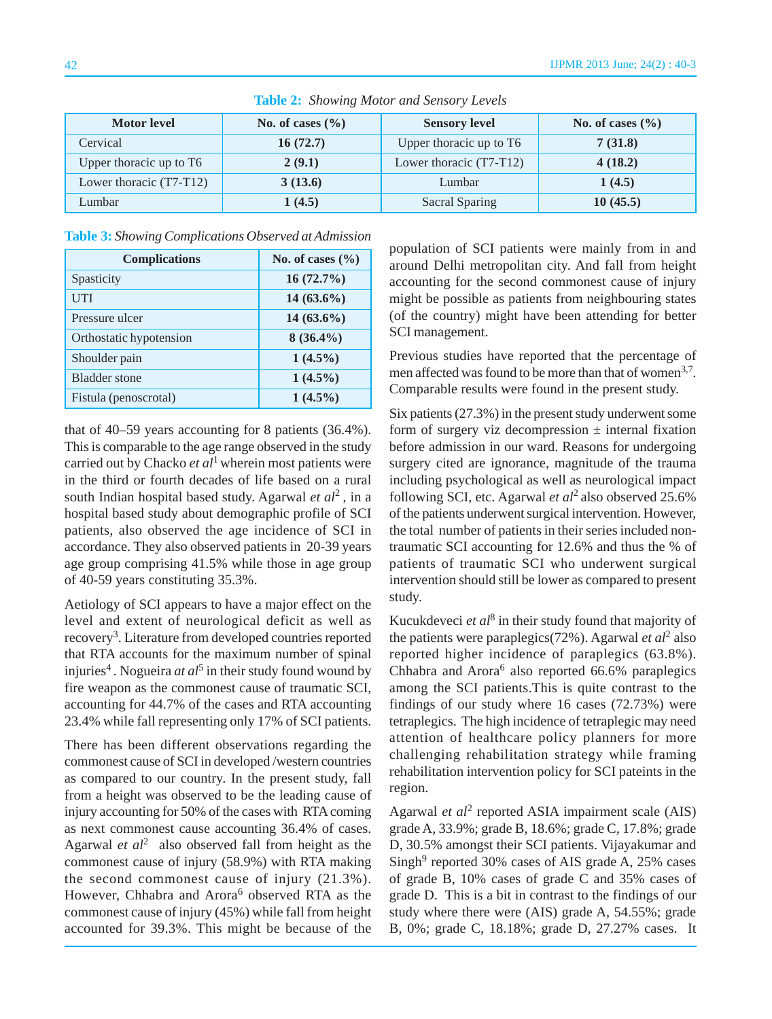| <b>Motor level</b>        | No. of cases $(\% )$ | <b>Sensory level</b>    | No. of cases $(\%$ |
|---------------------------|----------------------|-------------------------|--------------------|
| Cervical                  | 16(72.7)             | Upper thoracic up to T6 | 7(31.8)            |
| Upper thoracic up to T6   | 2(9.1)               | Lower thoracic (T7-T12) | 4(18.2)            |
| Lower thoracic $(T7-T12)$ | 3(13.6)              | Lumbar                  | 1(4.5)             |
| Lumbar                    | 1(4.5)               | <b>Sacral Sparing</b>   | 10(45.5)           |

**Table 2:** *Showing Motor and Sensory Levels*

**Table 3:** *Showing Complications Observed at Admission*

| <b>Complications</b>    | No. of cases $(\%$ |  |
|-------------------------|--------------------|--|
| Spasticity              | $16(72.7\%)$       |  |
| UTI                     | $14(63.6\%)$       |  |
| Pressure ulcer          | $14(63.6\%)$       |  |
| Orthostatic hypotension | $8(36.4\%)$        |  |
| Shoulder pain           | $1(4.5\%)$         |  |
| <b>Bladder</b> stone    | $1(4.5\%)$         |  |
| Fistula (penoscrotal)   | $1(4.5\%)$         |  |

that of 40–59 years accounting for 8 patients (36.4%). This is comparable to the age range observed in the study carried out by Chacko *et al*1 wherein most patients were in the third or fourth decades of life based on a rural south Indian hospital based study. Agarwal *et al*2 , in a hospital based study about demographic profile of SCI patients, also observed the age incidence of SCI in accordance. They also observed patients in 20-39 years age group comprising 41.5% while those in age group of 40-59 years constituting 35.3%.

Aetiology of SCI appears to have a major effect on the level and extent of neurological deficit as well as recovery3. Literature from developed countries reported that RTA accounts for the maximum number of spinal injuries<sup>4</sup>. Nogueira *at al*<sup>5</sup> in their study found wound by fire weapon as the commonest cause of traumatic SCI, accounting for 44.7% of the cases and RTA accounting 23.4% while fall representing only 17% of SCI patients.

There has been different observations regarding the commonest cause of SCI in developed /western countries as compared to our country. In the present study, fall from a height was observed to be the leading cause of injury accounting for 50% of the cases with RTA coming as next commonest cause accounting 36.4% of cases. Agarwal *et*  $al^2$  also observed fall from height as the commonest cause of injury (58.9%) with RTA making the second commonest cause of injury (21.3%). However, Chhabra and Arora<sup>6</sup> observed RTA as the commonest cause of injury (45%) while fall from height accounted for 39.3%. This might be because of the population of SCI patients were mainly from in and around Delhi metropolitan city. And fall from height accounting for the second commonest cause of injury might be possible as patients from neighbouring states (of the country) might have been attending for better SCI management.

Previous studies have reported that the percentage of men affected was found to be more than that of women<sup>3,7</sup>. Comparable results were found in the present study.

Six patients (27.3%) in the present study underwent some form of surgery viz decompression  $\pm$  internal fixation before admission in our ward. Reasons for undergoing surgery cited are ignorance, magnitude of the trauma including psychological as well as neurological impact following SCI, etc. Agarwal *et al*2 also observed 25.6% of the patients underwent surgical intervention. However, the total number of patients in their series included nontraumatic SCI accounting for 12.6% and thus the % of patients of traumatic SCI who underwent surgical intervention should still be lower as compared to present study.

Kucukdeveci *et al*8 in their study found that majority of the patients were paraplegics(72%). Agarwal *et al*2 also reported higher incidence of paraplegics (63.8%). Chhabra and Arora<sup>6</sup> also reported  $66.6%$  paraplegics among the SCI patients.This is quite contrast to the findings of our study where 16 cases (72.73%) were tetraplegics. The high incidence of tetraplegic may need attention of healthcare policy planners for more challenging rehabilitation strategy while framing rehabilitation intervention policy for SCI pateints in the region.

Agarwal *et al*2 reported ASIA impairment scale (AIS) grade A, 33.9%; grade B, 18.6%; grade C, 17.8%; grade D, 30.5% amongst their SCI patients. Vijayakumar and  $Singh<sup>9</sup>$  reported 30% cases of AIS grade A, 25% cases of grade B, 10% cases of grade C and 35% cases of grade D. This is a bit in contrast to the findings of our study where there were (AIS) grade A, 54.55%; grade B, 0%; grade C, 18.18%; grade D, 27.27% cases. It